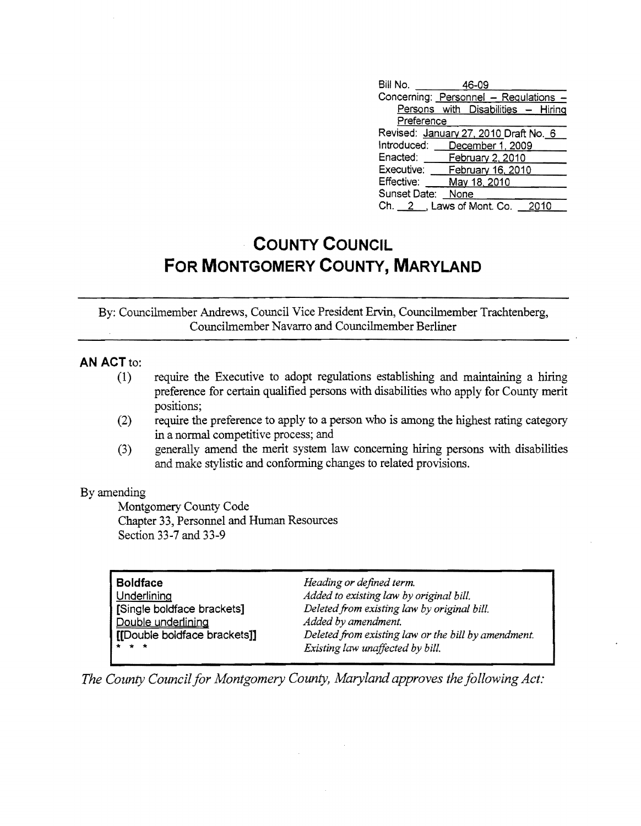|                           |      |                       | - 2010                                                                                                                                                                                                                               |
|---------------------------|------|-----------------------|--------------------------------------------------------------------------------------------------------------------------------------------------------------------------------------------------------------------------------------|
| Preference<br>Introduced: | None | 46-09<br>May 18, 2010 | Concerning: Personnel - Regulations -<br>Persons with Disabilities - Hiring<br>Revised: January 27, 2010 Draft No. 6<br>December 1, 2009<br>Enacted: February 2, 2010<br>Executive: February 16, 2010<br>$Ch. 2$ , Laws of Mont. Co. |

## **COUNTY COUNCIL FOR MONTGOMERY COUNTY, MARYLAND**

By: Councilmember Andrews, Council Vice President Ervin, Councilmember Trachtenberg, Councilmember Navarro and Councilmember Berliner

## **AN** ACT to:

- (1) require the Executive to adopt regulations establishing and maintaining a hiring preference for certain qualified persons with disabilities who apply for County merit positions;
- (2) require the preference to apply to a person who is among the highest rating category in a normal competitive process; and
- (3) generally amend the merit system law concerning hiring persons with disabilities and make stylistic and conforming changes to related provisions.

## By amending

Montgomery County Code Chapter 33, Personnel and Human Resources Section 33-7 and 33-9

| <b>Boldface</b>              | Heading or defined term.                            |
|------------------------------|-----------------------------------------------------|
| Underlining                  | Added to existing law by original bill.             |
| [Single boldface brackets]   | Deleted from existing law by original bill.         |
| Double underlining           | Added by amendment.                                 |
| [[Double boldface brackets]] | Deleted from existing law or the bill by amendment. |
| * * *                        | Existing law unaffected by bill.                    |

*The County Council for Montgomery County, Maryland approves the following Act:*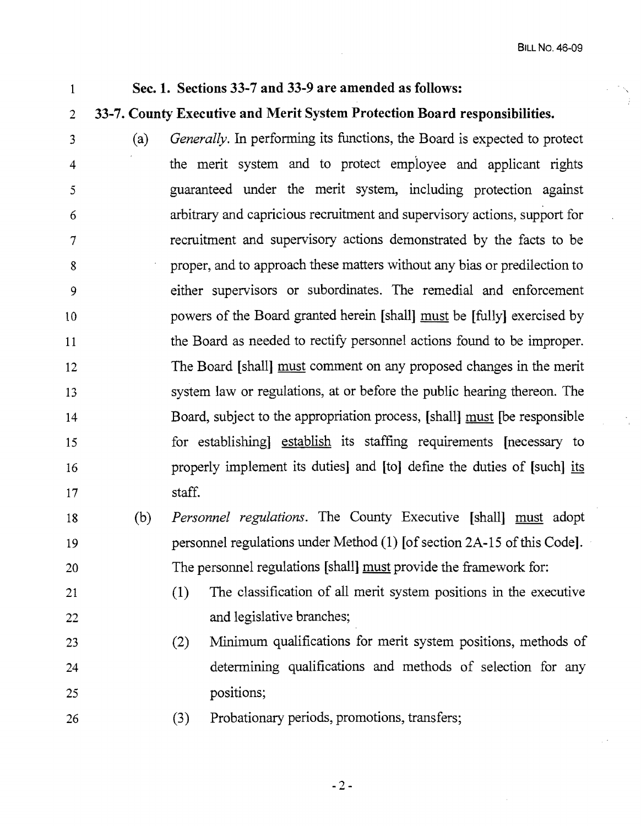## Sec. 1. Sections 33-7 and 33~9 are amended as follows:

1

21

22

26

- 2 33-7. County Executive and Merit System Protection Board responsibilities.
- 3 4 5 6 7 8 9 10 11 12 13 14 15 16 17 (a) *Generally.* In perfonning its functions, the Board is expected to protect the merit system and to protect employee and applicant rights guaranteed under the merit system, including protection against arbitrary and capricious recruitment and supervisory actions, support for recruitment and supervisory actions demonstrated by the facts to be proper, and to approach these matters without any bias or predilection to either supervisors or subordinates. The remedial and enforcement powers of the Board granted herein [shall] must be [fully] exercised by the Board as needed to rectify personnel actions found to be improper. The Board [shall] must comment on any proposed changes in the merit system law or regulations, at or before the public hearing thereon. The Board, subject to the appropriation process, [shall] must [be responsible for establishing] establish its staffing requirements [necessary to properly implement its duties] and [to] defme the duties of [such] its staff.
- 18 19 20 (b) *Personnel regulations.* The County Executive [shall] must adopt personnel regulations under Method (1) [of section 2A-15 of this Code]. The personnel regulations [shall] must provide the framework for:
	- $(1)$  The classification of all merit system positions in the executive and legislative branches;
- 23 24 25 (2) Minimum qualifications for merit system positions, methods of determining qualifications and methods of selection for any positions;
	- (3) Probationary periods, promotions, transfers;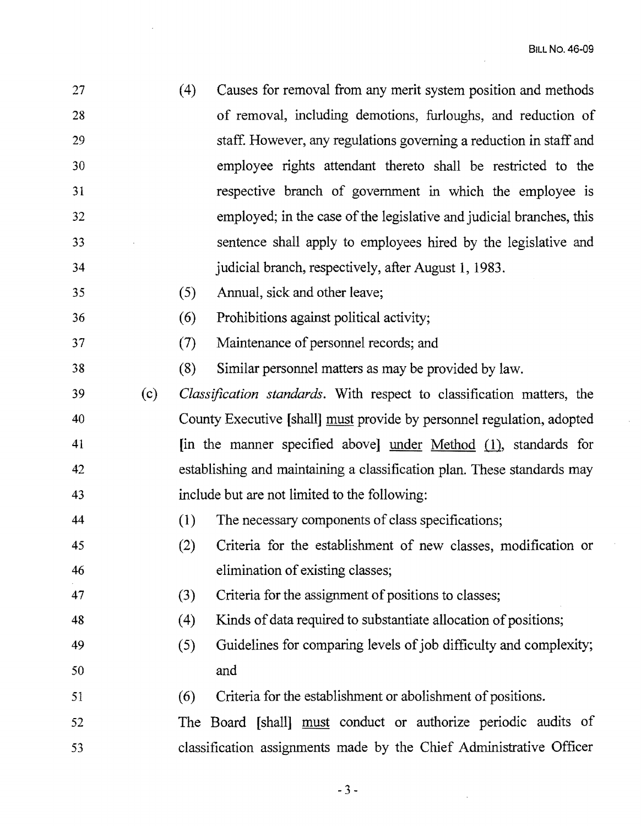$\mathcal{A}^{\mathcal{A}}$ 

 $\bar{\tau}$ 

| 27 |     | (4)<br>Causes for removal from any merit system position and methods     |
|----|-----|--------------------------------------------------------------------------|
| 28 |     | of removal, including demotions, furloughs, and reduction of             |
| 29 |     | staff. However, any regulations governing a reduction in staff and       |
| 30 |     | employee rights attendant thereto shall be restricted to the             |
| 31 |     | respective branch of government in which the employee is                 |
| 32 |     | employed; in the case of the legislative and judicial branches, this     |
| 33 |     | sentence shall apply to employees hired by the legislative and           |
| 34 |     | judicial branch, respectively, after August 1, 1983.                     |
| 35 |     | Annual, sick and other leave;<br>(5)                                     |
| 36 |     | Prohibitions against political activity;<br>(6)                          |
| 37 |     | (7)<br>Maintenance of personnel records; and                             |
| 38 |     | (8)<br>Similar personnel matters as may be provided by law.              |
| 39 | (c) | Classification standards. With respect to classification matters, the    |
| 40 |     | County Executive [shall] must provide by personnel regulation, adopted   |
| 41 |     | [in the manner specified above] $under Method (1)$ , standards for       |
| 42 |     | establishing and maintaining a classification plan. These standards may  |
| 43 |     | include but are not limited to the following:                            |
| 44 |     | (1)<br>The necessary components of class specifications;                 |
| 45 |     | (2)<br>Criteria for the establishment of new classes, modification or    |
| 46 |     | elimination of existing classes;                                         |
| 47 |     | Criteria for the assignment of positions to classes;<br>(3)              |
| 48 |     | Kinds of data required to substantiate allocation of positions;<br>(4)   |
| 49 |     | Guidelines for comparing levels of job difficulty and complexity;<br>(5) |
| 50 |     | and                                                                      |
| 51 |     | Criteria for the establishment or abolishment of positions.<br>(6)       |
| 52 |     | The Board [shall] must conduct or authorize periodic audits of           |
| 53 |     | classification assignments made by the Chief Administrative Officer      |

 $\hat{\boldsymbol{\beta}}$ 

 $\bar{\mathcal{C}}$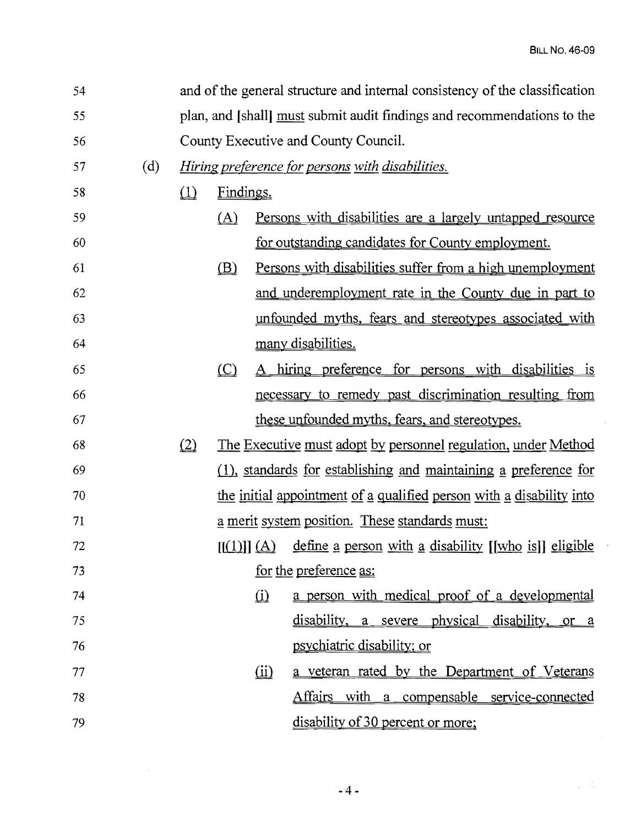$\mathcal{A}$ 

t,

 $\mathcal{L}^{\text{max}}$ 

| 54 |     | and of the general structure and internal consistency of the classification |               |               |                                                                       |
|----|-----|-----------------------------------------------------------------------------|---------------|---------------|-----------------------------------------------------------------------|
| 55 |     | plan, and [shall] must submit audit findings and recommendations to the     |               |               |                                                                       |
| 56 |     | County Executive and County Council.                                        |               |               |                                                                       |
| 57 | (d) | <i>Hiring preference for persons with disabilities.</i>                     |               |               |                                                                       |
| 58 |     | $\Box$                                                                      | Findings.     |               |                                                                       |
| 59 |     |                                                                             | (A)           |               | <u>Persons with disabilities are a largely untapped resource</u>      |
| 60 |     |                                                                             |               |               | for outstanding candidates for County employment.                     |
| 61 |     |                                                                             | $\circled{B}$ |               | Persons with disabilities suffer from a high unemployment             |
| 62 |     |                                                                             |               |               | and underemployment rate in the County due in part to                 |
| 63 |     |                                                                             |               |               | unfounded myths, fears and stereotypes associated with                |
| 64 |     |                                                                             |               |               | many disabilities.                                                    |
| 65 |     |                                                                             | (C)           |               | A hiring preference for persons with disabilities is                  |
| 66 |     |                                                                             |               |               | necessary to remedy past discrimination resulting from                |
| 67 |     |                                                                             |               |               | these unfounded myths, fears, and stereotypes.                        |
| 68 |     | (2)                                                                         |               |               | <u>The Executive must adopt by personnel regulation, under Method</u> |
| 69 |     |                                                                             |               |               | (1), standards for establishing and maintaining a preference for      |
| 70 |     |                                                                             |               |               | the initial appointment of a qualified person with a disability into  |
| 71 |     |                                                                             |               |               | a merit system position. These standards must:                        |
| 72 |     |                                                                             |               | $[(1)] \ (A)$ | define a person with a disability [[who is]] eligible                 |
| 73 |     |                                                                             |               |               | <u>for the preference as:</u>                                         |
| 74 |     |                                                                             |               | $\Omega$      | a person with medical proof of a developmental                        |
| 75 |     |                                                                             |               |               | disability, a severe physical disability, or a                        |
| 76 |     |                                                                             |               |               | psychiatric disability; or                                            |
| 77 |     |                                                                             |               | $\omega$      | a veteran rated by the Department of Veterans                         |
| 78 |     |                                                                             |               |               | Affairs with a compensable service-connected                          |
| 79 |     |                                                                             |               |               | disability of 30 percent or more;                                     |

 $\sim 10^{-1}$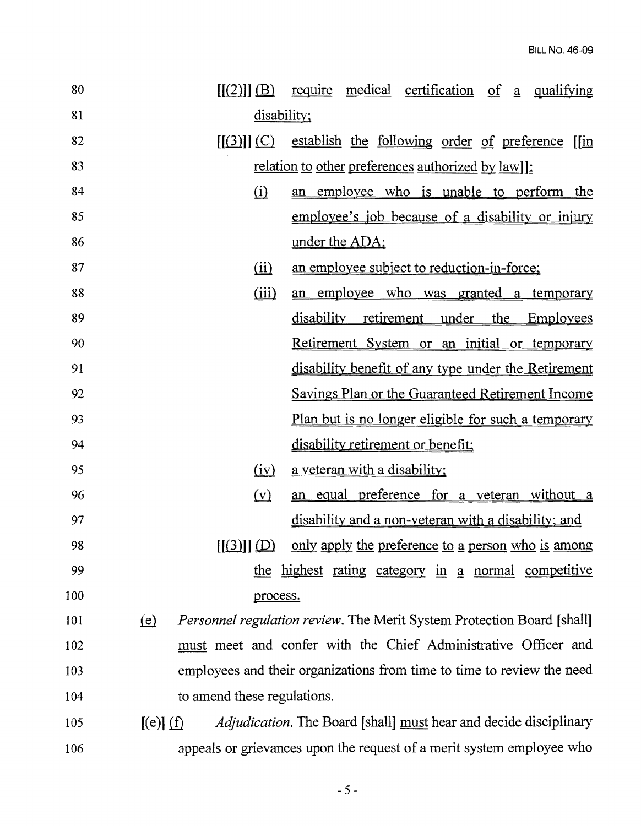| 80  | medical certification<br>$[[(2)]]$ $(B)$<br>require<br>$of \underline{a}$<br>qualifying    |
|-----|--------------------------------------------------------------------------------------------|
| 81  | disability;                                                                                |
| 82  | $[(3)]$ $(C)$ establish the following order of preference $[$ in                           |
| 83  | <u>relation to other preferences authorized by law</u> ]:                                  |
| 84  | $\Omega$<br>an employee who is unable to perform the                                       |
| 85  | employee's job because of a disability or injury                                           |
| 86  | under the ADA;                                                                             |
| 87  | an employee subject to reduction-in-force;<br>(ii)                                         |
| 88  | (iii)<br>an employee who was granted a temporary                                           |
| 89  | disability retirement under the Employees                                                  |
| 90  | Retirement System or an initial or temporary                                               |
| 91  | disability benefit of any type under the Retirement                                        |
| 92  | Savings Plan or the Guaranteed Retirement Income                                           |
| 93  | <u>Plan but is no longer eligible for such a temporary</u>                                 |
| 94  | disability retirement or benefit;                                                          |
| 95  | a veteran with a disability;<br>$\left(\underline{iv}\right)$                              |
| 96  | an equal preference for a veteran without a<br>$(\underline{v})$                           |
| 97  | disability and a non-veteran with a disability; and                                        |
| 98  | only apply the preference to a person who is among<br>[[3]][D]                             |
| 99  | the highest rating category in a normal competitive                                        |
| 100 | process.                                                                                   |
| 101 | <i>Personnel regulation review.</i> The Merit System Protection Board [shall]<br>(e)       |
| 102 | must meet and confer with the Chief Administrative Officer and                             |
| 103 | employees and their organizations from time to time to review the need                     |
| 104 | to amend these regulations.                                                                |
| 105 | <i>Adjudication</i> . The Board [shall] must hear and decide disciplinary<br>$[(e)]$ $(f)$ |
| 106 | appeals or grievances upon the request of a merit system employee who                      |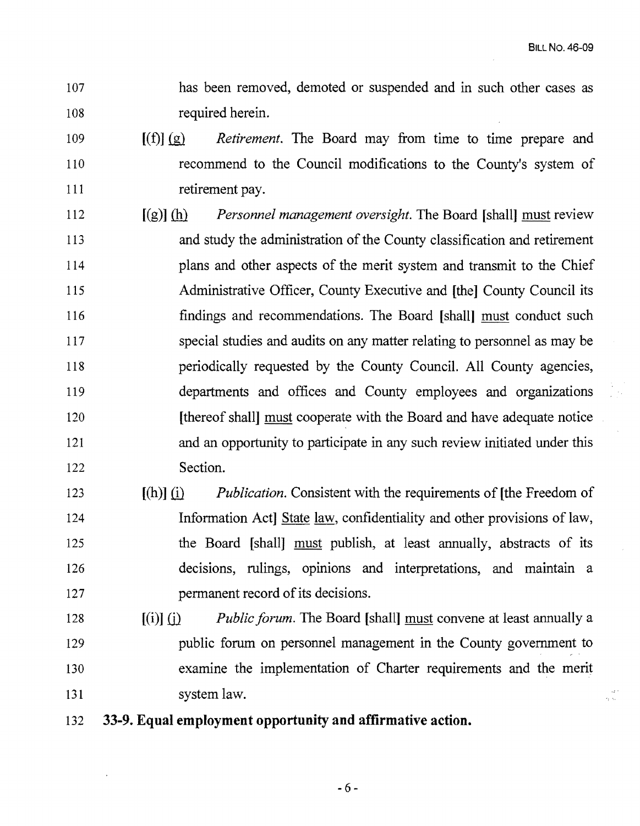i<br>Bisk

- 107 has been removed, demoted or suspended and in such other cases as 108 required herein.
- 109 [(f)] (g) *Retirement.* The Board may from time to time prepare and 110 recommend to the Council modifications to the County's system of 111 retirement pay.
- 112 [(g)] (h} *Personnel management oversight.* The Board [shall] must review 113 and study the administration of the County classification and retirement 114 plans and other aspects of the merit system and transmit to the Chief 115 Administrative Officer, County Executive and [the] County Council its 116 findings and recommendations. The Board [shall] must conduct such 117 special studies and audits on any matter relating to personnel as may be 118 periodically requested by the County Council. All County agencies, 119 departments and offices and County employees and organizations 120 [thereof shall] must cooperate with the Board and have adequate notice 121 and an opportunity to participate in any such review initiated under this 122 Section.
- 123 [(h)] (i) *Publication.* Consistent with the requirements of [the Freedom of 124 Information Act] State law, confidentiality and other provisions of law, 125 the Board [shall] must publish, at least annually, abstracts of its 126 decisions, rulings, opinions and interpretations, and maintain a 127 **permanent record of its decisions.**
- 128 **[(i)]** (i) *Public forum.* The Board [shall] must convene at least annually a 129 public forum on personnel management in the County government to 130 examine the implementation of Charter requirements and the merit 131 system law.
- 132 **33-9. Equal employment opportunity and affirmative action.**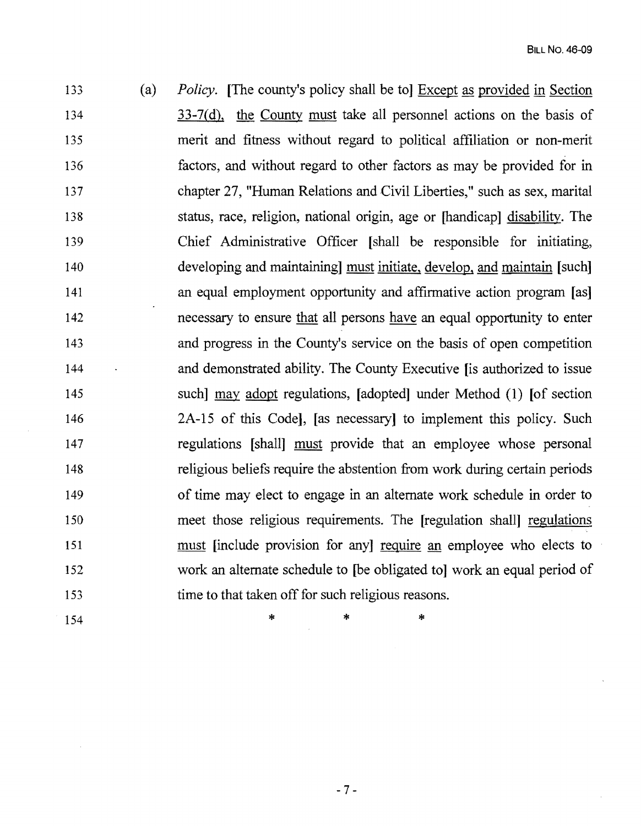133 (a) *Policy.* [The county's policy shall be to] Except as provided in Section 134 33-7(d), the County must take all personnel actions on the basis of 135 merit and fitness without regard to political affiliation or non-merit 136 factors, and without regard to other factors as may be provided for in 137 chapter 27, "Human Relations and Civil Liberties," such as sex, marital 138 status, race, religion, national origin, age or [handicap] disability. The 139 Chief Administrative Officer [shall be responsible for initiating, 140 developing and maintaining] must initiate, develop, and maintain [such] 141 an equal employment opportunity and affirmative action program [as] 142 necessary to ensure that all persons have an equal opportunity to enter 143 and progress in the County's service on the basis of open competition 144 and demonstrated ability. The County Executive lis authorized to issue 145 such] may adopt regulations, [adopted] under Method (1) [of section 146 2A-15 of this Code], [as necessary] to implement this policy. Such 147 regulations [shall] must provide that an employee whose personal 148 religious beliefs require the abstention from work during certain periods 149 of time may elect to engage in an alternate work schedule in order to 150 meet those religious requirements. The [regulation shall] regulations 151 must [include provision for any] require an employee who elects to 152 work an alternate schedule to [be obligated to] work an equal period of 153 time to that taken off for such religious reasons.

 $154$  \* \* \*

 $-7-$